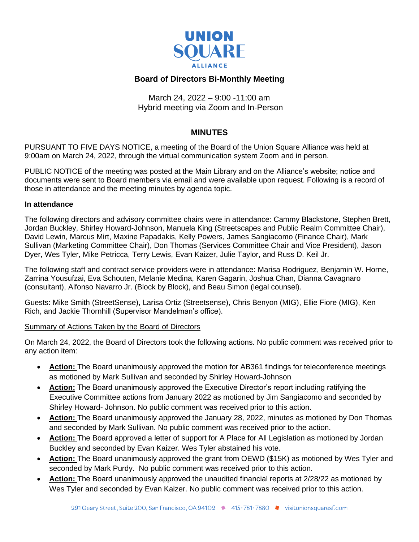

# **Board of Directors Bi-Monthly Meeting**

March 24, 2022 – 9:00 -11:00 am Hybrid meeting via Zoom and In-Person

# **MINUTES**

PURSUANT TO FIVE DAYS NOTICE, a meeting of the Board of the Union Square Alliance was held at 9:00am on March 24, 2022, through the virtual communication system Zoom and in person.

PUBLIC NOTICE of the meeting was posted at the Main Library and on the Alliance's website; notice and documents were sent to Board members via email and were available upon request. Following is a record of those in attendance and the meeting minutes by agenda topic.

#### **In attendance**

The following directors and advisory committee chairs were in attendance: Cammy Blackstone, Stephen Brett, Jordan Buckley, Shirley Howard-Johnson, Manuela King (Streetscapes and Public Realm Committee Chair), David Lewin, Marcus Mirt, Maxine Papadakis, Kelly Powers, James Sangiacomo (Finance Chair), Mark Sullivan (Marketing Committee Chair), Don Thomas (Services Committee Chair and Vice President), Jason Dyer, Wes Tyler, Mike Petricca, Terry Lewis, Evan Kaizer, Julie Taylor, and Russ D. Keil Jr.

The following staff and contract service providers were in attendance: Marisa Rodriguez, Benjamin W. Horne, Zarrina Yousufzai, Eva Schouten, Melanie Medina, Karen Gagarin, Joshua Chan, Dianna Cavagnaro (consultant), Alfonso Navarro Jr. (Block by Block), and Beau Simon (legal counsel).

Guests: Mike Smith (StreetSense), Larisa Ortiz (Streetsense), Chris Benyon (MIG), Ellie Fiore (MIG), Ken Rich, and Jackie Thornhill (Supervisor Mandelman's office).

## Summary of Actions Taken by the Board of Directors

On March 24, 2022, the Board of Directors took the following actions. No public comment was received prior to any action item:

- **Action:** The Board unanimously approved the motion for AB361 findings for teleconference meetings as motioned by Mark Sullivan and seconded by Shirley Howard-Johnson
- **Action:** The Board unanimously approved the Executive Director's report including ratifying the Executive Committee actions from January 2022 as motioned by Jim Sangiacomo and seconded by Shirley Howard- Johnson. No public comment was received prior to this action.
- **Action:** The Board unanimously approved the January 28, 2022, minutes as motioned by Don Thomas and seconded by Mark Sullivan. No public comment was received prior to the action.
- **Action:** The Board approved a letter of support for A Place for All Legislation as motioned by Jordan Buckley and seconded by Evan Kaizer. Wes Tyler abstained his vote.
- **Action:** The Board unanimously approved the grant from OEWD (\$15K) as motioned by Wes Tyler and seconded by Mark Purdy. No public comment was received prior to this action.
- **Action:** The Board unanimously approved the unaudited financial reports at 2/28/22 as motioned by Wes Tyler and seconded by Evan Kaizer. No public comment was received prior to this action.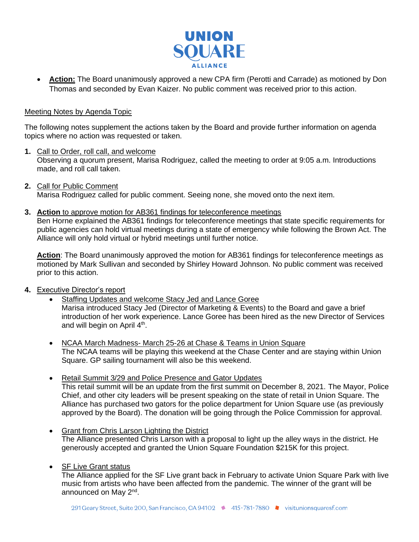

• **Action:** The Board unanimously approved a new CPA firm (Perotti and Carrade) as motioned by Don Thomas and seconded by Evan Kaizer. No public comment was received prior to this action.

#### Meeting Notes by Agenda Topic

The following notes supplement the actions taken by the Board and provide further information on agenda topics where no action was requested or taken.

- **1.** Call to Order, roll call, and welcome Observing a quorum present, Marisa Rodriguez, called the meeting to order at 9:05 a.m. Introductions made, and roll call taken.
- **2.** Call for Public Comment Marisa Rodriguez called for public comment. Seeing none, she moved onto the next item.
- **3. Action** to approve motion for AB361 findings for teleconference meetings

Ben Horne explained the AB361 findings for teleconference meetings that state specific requirements for public agencies can hold virtual meetings during a state of emergency while following the Brown Act. The Alliance will only hold virtual or hybrid meetings until further notice.

Action: The Board unanimously approved the motion for AB361 findings for teleconference meetings as motioned by Mark Sullivan and seconded by Shirley Howard Johnson. No public comment was received prior to this action.

- **4.** Executive Director's report
	- Staffing Updates and welcome Stacy Jed and Lance Goree Marisa introduced Stacy Jed (Director of Marketing & Events) to the Board and gave a brief introduction of her work experience. Lance Goree has been hired as the new Director of Services and will begin on April 4<sup>th</sup>.
	- NCAA March Madness- March 25-26 at Chase & Teams in Union Square The NCAA teams will be playing this weekend at the Chase Center and are staying within Union Square. GP sailing tournament will also be this weekend.
	- Retail Summit 3/29 and Police Presence and Gator Updates This retail summit will be an update from the first summit on December 8, 2021. The Mayor, Police Chief, and other city leaders will be present speaking on the state of retail in Union Square. The Alliance has purchased two gators for the police department for Union Square use (as previously approved by the Board). The donation will be going through the Police Commission for approval.
	- Grant from Chris Larson Lighting the District The Alliance presented Chris Larson with a proposal to light up the alley ways in the district. He generously accepted and granted the Union Square Foundation \$215K for this project.
	- **SF Live Grant status**

The Alliance applied for the SF Live grant back in February to activate Union Square Park with live music from artists who have been affected from the pandemic. The winner of the grant will be announced on May 2<sup>nd</sup>.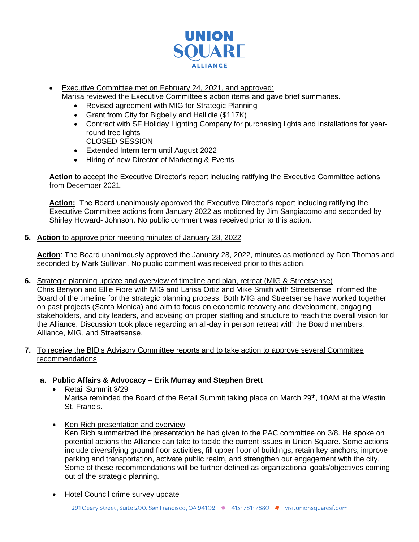

• Executive Committee met on February 24, 2021, and approved:

Marisa reviewed the Executive Committee's action items and gave brief summaries.

- Revised agreement with MIG for Strategic Planning
- Grant from City for Bigbelly and Hallidie (\$117K)
- Contract with SF Holiday Lighting Company for purchasing lights and installations for yearround tree lights CLOSED SESSION
- Extended Intern term until August 2022
- Hiring of new Director of Marketing & Events

**Action** to accept the Executive Director's report including ratifying the Executive Committee actions from December 2021.

**Action:** The Board unanimously approved the Executive Director's report including ratifying the Executive Committee actions from January 2022 as motioned by Jim Sangiacomo and seconded by Shirley Howard- Johnson. No public comment was received prior to this action.

**5. Action** to approve prior meeting minutes of January 28, 2022

**Action**: The Board unanimously approved the January 28, 2022, minutes as motioned by Don Thomas and seconded by Mark Sullivan. No public comment was received prior to this action.

**6.** Strategic planning update and overview of timeline and plan, retreat (MIG & Streetsense) Chris Benyon and Ellie Fiore with MIG and Larisa Ortiz and Mike Smith with Streetsense, informed the Board of the timeline for the strategic planning process. Both MIG and Streetsense have worked together on past projects (Santa Monica) and aim to focus on economic recovery and development, engaging stakeholders, and city leaders, and advising on proper staffing and structure to reach the overall vision for the Alliance. Discussion took place regarding an all-day in person retreat with the Board members, Alliance, MIG, and Streetsense.

## **7.** To receive the BID's Advisory Committee reports and to take action to approve several Committee recommendations

# **a. Public Affairs & Advocacy – Erik Murray and Stephen Brett**

- Retail Summit 3/29 Marisa reminded the Board of the Retail Summit taking place on March 29<sup>th</sup>, 10AM at the Westin St. Francis.
- Ken Rich presentation and overview

Ken Rich summarized the presentation he had given to the PAC committee on 3/8. He spoke on potential actions the Alliance can take to tackle the current issues in Union Square. Some actions include diversifying ground floor activities, fill upper floor of buildings, retain key anchors, improve parking and transportation, activate public realm, and strengthen our engagement with the city. Some of these recommendations will be further defined as organizational goals/objectives coming out of the strategic planning.

• Hotel Council crime survey update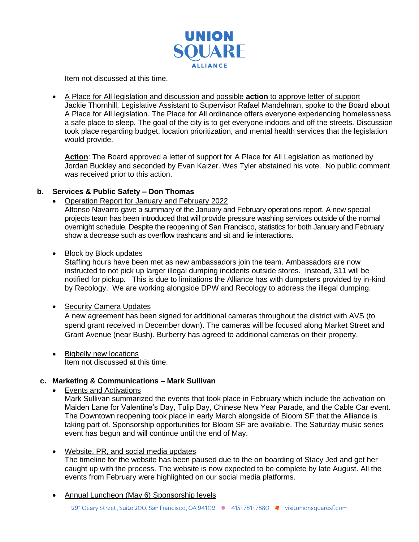

Item not discussed at this time.

• A Place for All legislation and discussion and possible **action** to approve letter of support Jackie Thornhill, Legislative Assistant to Supervisor Rafael Mandelman, spoke to the Board about A Place for All legislation. The Place for All ordinance offers everyone experiencing homelessness a safe place to sleep. The goal of the city is to get everyone indoors and off the streets. Discussion took place regarding budget, location prioritization, and mental health services that the legislation would provide.

Action: The Board approved a letter of support for A Place for All Legislation as motioned by Jordan Buckley and seconded by Evan Kaizer. Wes Tyler abstained his vote. No public comment was received prior to this action.

# **b. Services & Public Safety – Don Thomas**

• Operation Report for January and February 2022

Alfonso Navarro gave a summary of the January and February operations report. A new special projects team has been introduced that will provide pressure washing services outside of the normal overnight schedule. Despite the reopening of San Francisco, statistics for both January and February show a decrease such as overflow trashcans and sit and lie interactions.

• Block by Block updates

Staffing hours have been met as new ambassadors join the team. Ambassadors are now instructed to not pick up larger illegal dumping incidents outside stores. Instead, 311 will be notified for pickup. This is due to limitations the Alliance has with dumpsters provided by in-kind by Recology. We are working alongside DPW and Recology to address the illegal dumping.

## • Security Camera Updates

A new agreement has been signed for additional cameras throughout the district with AVS (to spend grant received in December down). The cameras will be focused along Market Street and Grant Avenue (near Bush). Burberry has agreed to additional cameras on their property.

• Bigbelly new locations Item not discussed at this time.

# **c. Marketing & Communications – Mark Sullivan**

• Events and Activations

Mark Sullivan summarized the events that took place in February which include the activation on Maiden Lane for Valentine's Day, Tulip Day, Chinese New Year Parade, and the Cable Car event. The Downtown reopening took place in early March alongside of Bloom SF that the Alliance is taking part of. Sponsorship opportunities for Bloom SF are available. The Saturday music series event has begun and will continue until the end of May.

• Website, PR, and social media updates

The timeline for the website has been paused due to the on boarding of Stacy Jed and get her caught up with the process. The website is now expected to be complete by late August. All the events from February were highlighted on our social media platforms.

• Annual Luncheon (May 6) Sponsorship levels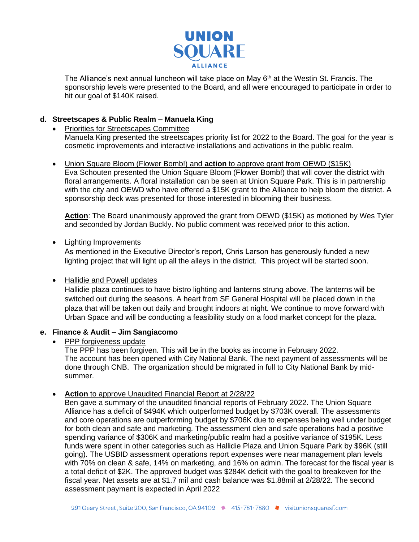

The Alliance's next annual luncheon will take place on May  $6<sup>th</sup>$  at the Westin St. Francis. The sponsorship levels were presented to the Board, and all were encouraged to participate in order to hit our goal of \$140K raised.

# **d. Streetscapes & Public Realm – Manuela King**

• Priorities for Streetscapes Committee Manuela King presented the streetscapes priority list for 2022 to the Board. The goal for the year is cosmetic improvements and interactive installations and activations in the public realm.

• Union Square Bloom (Flower Bomb!) and **action** to approve grant from OEWD (\$15K) Eva Schouten presented the Union Square Bloom (Flower Bomb!) that will cover the district with floral arrangements. A floral installation can be seen at Union Square Park. This is in partnership with the city and OEWD who have offered a \$15K grant to the Alliance to help bloom the district. A sponsorship deck was presented for those interested in blooming their business.

**Action**: The Board unanimously approved the grant from OEWD (\$15K) as motioned by Wes Tyler and seconded by Jordan Buckly. No public comment was received prior to this action.

## • Lighting Improvements

As mentioned in the Executive Director's report, Chris Larson has generously funded a new lighting project that will light up all the alleys in the district. This project will be started soon.

## • Hallidie and Powell updates

Hallidie plaza continues to have bistro lighting and lanterns strung above. The lanterns will be switched out during the seasons. A heart from SF General Hospital will be placed down in the plaza that will be taken out daily and brought indoors at night. We continue to move forward with Urban Space and will be conducting a feasibility study on a food market concept for the plaza.

## **e. Finance & Audit – Jim Sangiacomo**

PPP forgiveness update

The PPP has been forgiven. This will be in the books as income in February 2022. The account has been opened with City National Bank. The next payment of assessments will be done through CNB. The organization should be migrated in full to City National Bank by midsummer.

#### • **Action** to approve Unaudited Financial Report at 2/28/22

Ben gave a summary of the unaudited financial reports of February 2022. The Union Square Alliance has a deficit of \$494K which outperformed budget by \$703K overall. The assessments and core operations are outperforming budget by \$706K due to expenses being well under budget for both clean and safe and marketing. The assessment clen and safe operations had a positive spending variance of \$306K and marketing/public realm had a positive variance of \$195K. Less funds were spent in other categories such as Hallidie Plaza and Union Square Park by \$96K (still going). The USBID assessment operations report expenses were near management plan levels with 70% on clean & safe, 14% on marketing, and 16% on admin. The forecast for the fiscal year is a total deficit of \$2K. The approved budget was \$284K deficit with the goal to breakeven for the fiscal year. Net assets are at \$1.7 mil and cash balance was \$1.88mil at 2/28/22. The second assessment payment is expected in April 2022